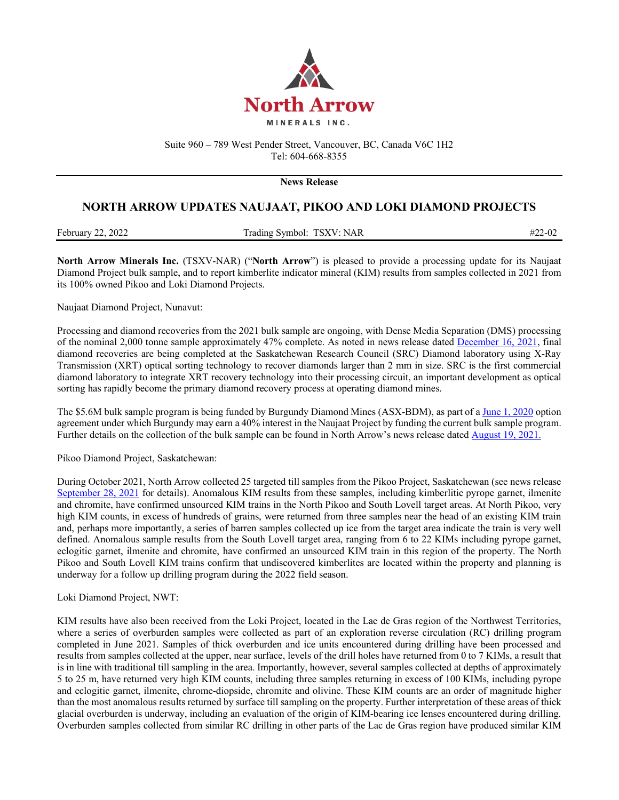

Suite 960 – 789 West Pender Street, Vancouver, BC, Canada V6C 1H2 Tel: 604-668-8355

**News Release** 

## **NORTH ARROW UPDATES NAUJAAT, PIKOO AND LOKI DIAMOND PROJECTS**

| February 22, 2022 | Trading Symbol: TSXV: NAR |  |
|-------------------|---------------------------|--|
|                   |                           |  |

**North Arrow Minerals Inc.** (TSXV-NAR) ("**North Arrow**") is pleased to provide a processing update for its Naujaat Diamond Project bulk sample, and to report kimberlite indicator mineral (KIM) results from samples collected in 2021 from its 100% owned Pikoo and Loki Diamond Projects.

Naujaat Diamond Project, Nunavut:

Processing and diamond recoveries from the 2021 bulk sample are ongoing, with Dense Media Separation (DMS) processing of the nominal 2,000 tonne sample approximately 47% complete. As noted in news release dated [December 16, 2021,](http://www.northarrowminerals.com/news/press_releases/index.php?content_id=272) final diamond recoveries are being completed at the Saskatchewan Research Council (SRC) Diamond laboratory using X-Ray Transmission (XRT) optical sorting technology to recover diamonds larger than 2 mm in size. SRC is the first commercial diamond laboratory to integrate XRT recovery technology into their processing circuit, an important development as optical sorting has rapidly become the primary diamond recovery process at operating diamond mines.

The \$5.6M bulk sample program is being funded by Burgundy Diamond Mines (ASX-BDM), as part of [a June 1, 2020](http://www.northarrowminerals.com/news/press_releases/index.php?content_id=253) option agreement under which Burgundy may earn a 40% interest in the Naujaat Project by funding the current bulk sample program. Further details on the collection of the bulk sample can be found in North Arrow's news release dated [August 19, 2021.](http://www.northarrowminerals.com/news/press_releases/index.php?content_id=268)

Pikoo Diamond Project, Saskatchewan:

During October 2021, North Arrow collected 25 targeted till samples from the Pikoo Project, Saskatchewan (see news release [September 28, 2021](http://northarrowminerals.com/news/press_releases/index.php?content_id=269) for details). Anomalous KIM results from these samples, including kimberlitic pyrope garnet, ilmenite and chromite, have confirmed unsourced KIM trains in the North Pikoo and South Lovell target areas. At North Pikoo, very high KIM counts, in excess of hundreds of grains, were returned from three samples near the head of an existing KIM train and, perhaps more importantly, a series of barren samples collected up ice from the target area indicate the train is very well defined. Anomalous sample results from the South Lovell target area, ranging from 6 to 22 KIMs including pyrope garnet, eclogitic garnet, ilmenite and chromite, have confirmed an unsourced KIM train in this region of the property. The North Pikoo and South Lovell KIM trains confirm that undiscovered kimberlites are located within the property and planning is underway for a follow up drilling program during the 2022 field season.

Loki Diamond Project, NWT:

KIM results have also been received from the Loki Project, located in the Lac de Gras region of the Northwest Territories, where a series of overburden samples were collected as part of an exploration reverse circulation (RC) drilling program completed in June 2021. Samples of thick overburden and ice units encountered during drilling have been processed and results from samples collected at the upper, near surface, levels of the drill holes have returned from 0 to 7 KIMs, a result that is in line with traditional till sampling in the area. Importantly, however, several samples collected at depths of approximately 5 to 25 m, have returned very high KIM counts, including three samples returning in excess of 100 KIMs, including pyrope and eclogitic garnet, ilmenite, chrome-diopside, chromite and olivine. These KIM counts are an order of magnitude higher than the most anomalous results returned by surface till sampling on the property. Further interpretation of these areas of thick glacial overburden is underway, including an evaluation of the origin of KIM-bearing ice lenses encountered during drilling. Overburden samples collected from similar RC drilling in other parts of the Lac de Gras region have produced similar KIM